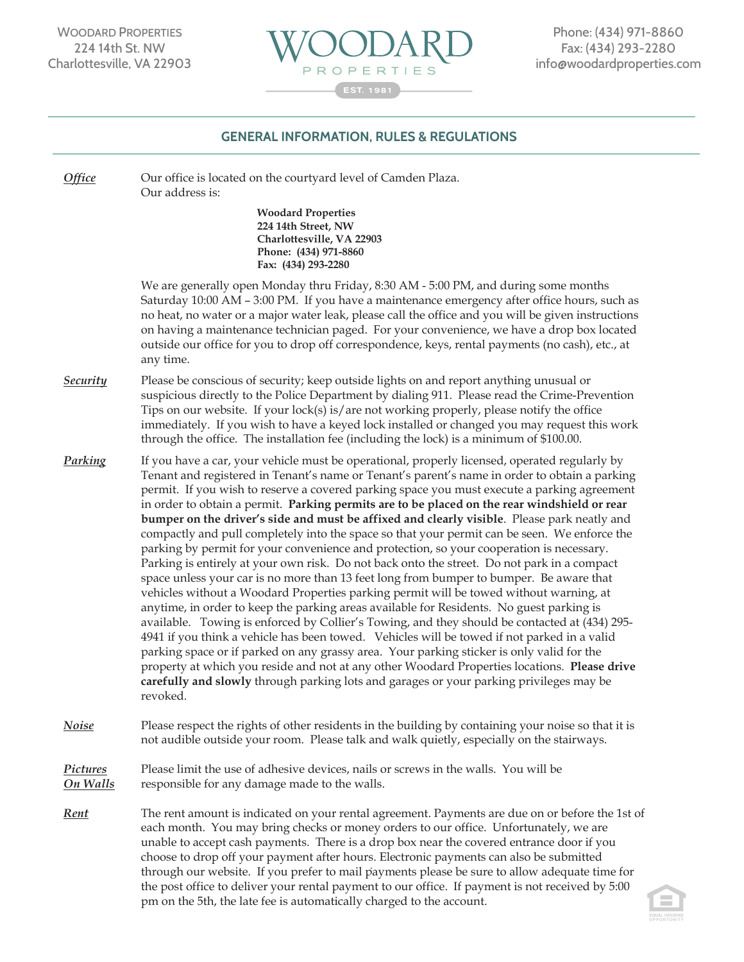

## **GENERAL INFORMATION, RULES & REGULATIONS** *General Information, Rules and Regulations*

*Woodard Properties*

*.* through our website. If you prefer to mail payments please be sure to allow adequate time for *Office* Our office is located on the courtyard level of Camden Plaza. Our address is: **Woodard Properties 224 14th Street, NW Charlottesville, VA 22903 Phone: (434) 971-8860 Fax: (434) 293-2280** We are generally open Monday thru Friday, 8:30 AM - 5:00 PM, and during some months Saturday 10:00 AM – 3:00 PM. If you have a maintenance emergency after office hours, such as no heat, no water or a major water leak, please call the office and you will be given instructions on having a maintenance technician paged. For your convenience, we have a drop box located outside our office for you to drop off correspondence, keys, rental payments (no cash), etc., at any time. *Security* Please be conscious of security; keep outside lights on and report anything unusual or suspicious directly to the Police Department by dialing 911. Please read the Crime-Prevention Tips on our website. If your lock(s) is/are not working properly, please notify the office immediately. If you wish to have a keyed lock installed or changed you may request this work through the office. The installation fee (including the lock) is a minimum of \$100.00. *Parking* If you have a car, your vehicle must be operational, properly licensed, operated regularly by Tenant and registered in Tenant's name or Tenant's parent's name in order to obtain a parking permit. If you wish to reserve a covered parking space you must execute a parking agreement in order to obtain a permit. **Parking permits are to be placed on the rear windshield or rear bumper on the driver's side and must be affixed and clearly visible**. Please park neatly and compactly and pull completely into the space so that your permit can be seen. We enforce the parking by permit for your convenience and protection, so your cooperation is necessary. Parking is entirely at your own risk. Do not back onto the street. Do not park in a compact space unless your car is no more than 13 feet long from bumper to bumper. Be aware that vehicles without a Woodard Properties parking permit will be towed without warning, at anytime, in order to keep the parking areas available for Residents. No guest parking is available. Towing is enforced by Collier's Towing, and they should be contacted at (434) 295- 4941 if you think a vehicle has been towed. Vehicles will be towed if not parked in a valid parking space or if parked on any grassy area. Your parking sticker is only valid for the property at which you reside and not at any other Woodard Properties locations. **Please drive carefully and slowly** through parking lots and garages or your parking privileges may be revoked. *Noise* Please respect the rights of other residents in the building by containing your noise so that it is not audible outside your room. Please talk and walk quietly, especially on the stairways. *Pictures* Please limit the use of adhesive devices, nails or screws in the walls. You will be *On Walls* responsible for any damage made to the walls. *Rent* The rent amount is indicated on your rental agreement. Payments are due on or before the 1st of each month. You may bring checks or money orders to our office. Unfortunately, we are unable to accept cash payments. There is a drop box near the covered entrance door if you choose to drop off your payment after hours. Electronic payments can also be submitted

the post office to deliver your rental payment to our office. If payment is not received by 5:00

pm on the 5th, the late fee is automatically charged to the account.

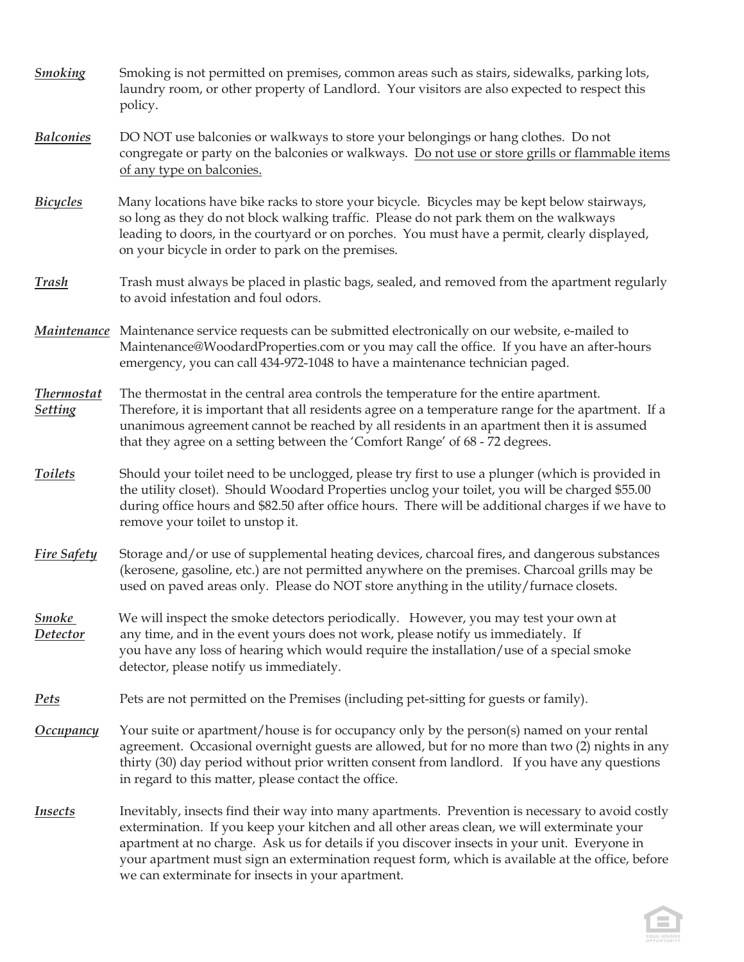| <b>Smoking</b>                      | Smoking is not permitted on premises, common areas such as stairs, sidewalks, parking lots,<br>laundry room, or other property of Landlord. Your visitors are also expected to respect this<br>policy.                                                                                                                                                                                                                                                   |
|-------------------------------------|----------------------------------------------------------------------------------------------------------------------------------------------------------------------------------------------------------------------------------------------------------------------------------------------------------------------------------------------------------------------------------------------------------------------------------------------------------|
| <b>Balconies</b>                    | DO NOT use balconies or walkways to store your belongings or hang clothes. Do not<br>congregate or party on the balconies or walkways. Do not use or store grills or flammable items<br>of any type on balconies.                                                                                                                                                                                                                                        |
| <b>Bicycles</b>                     | Many locations have bike racks to store your bicycle. Bicycles may be kept below stairways,<br>so long as they do not block walking traffic. Please do not park them on the walkways<br>leading to doors, in the courtyard or on porches. You must have a permit, clearly displayed,<br>on your bicycle in order to park on the premises.                                                                                                                |
| Trash                               | Trash must always be placed in plastic bags, sealed, and removed from the apartment regularly<br>to avoid infestation and foul odors.                                                                                                                                                                                                                                                                                                                    |
|                                     | Maintenance Maintenance service requests can be submitted electronically on our website, e-mailed to<br>Maintenance@WoodardProperties.com or you may call the office. If you have an after-hours<br>emergency, you can call 434-972-1048 to have a maintenance technician paged.                                                                                                                                                                         |
| <b>Thermostat</b><br><b>Setting</b> | The thermostat in the central area controls the temperature for the entire apartment.<br>Therefore, it is important that all residents agree on a temperature range for the apartment. If a<br>unanimous agreement cannot be reached by all residents in an apartment then it is assumed<br>that they agree on a setting between the 'Comfort Range' of 68 - 72 degrees.                                                                                 |
| <b>Toilets</b>                      | Should your toilet need to be unclogged, please try first to use a plunger (which is provided in<br>the utility closet). Should Woodard Properties unclog your toilet, you will be charged \$55.00<br>during office hours and \$82.50 after office hours. There will be additional charges if we have to<br>remove your toilet to unstop it.                                                                                                             |
| <b>Fire Safety</b>                  | Storage and/or use of supplemental heating devices, charcoal fires, and dangerous substances<br>(kerosene, gasoline, etc.) are not permitted anywhere on the premises. Charcoal grills may be<br>used on paved areas only. Please do NOT store anything in the utility/furnace closets.                                                                                                                                                                  |
| <b>Smoke</b><br><b>Detector</b>     | We will inspect the smoke detectors periodically. However, you may test your own at<br>any time, and in the event yours does not work, please notify us immediately. If<br>you have any loss of hearing which would require the installation/use of a special smoke<br>detector, please notify us immediately.                                                                                                                                           |
| <u>Pets</u>                         | Pets are not permitted on the Premises (including pet-sitting for guests or family).                                                                                                                                                                                                                                                                                                                                                                     |
| <b>Occupancy</b>                    | Your suite or apartment/house is for occupancy only by the person(s) named on your rental<br>agreement. Occasional overnight guests are allowed, but for no more than two (2) nights in any<br>thirty (30) day period without prior written consent from landlord. If you have any questions<br>in regard to this matter, please contact the office.                                                                                                     |
| <b>Insects</b>                      | Inevitably, insects find their way into many apartments. Prevention is necessary to avoid costly<br>extermination. If you keep your kitchen and all other areas clean, we will exterminate your<br>apartment at no charge. Ask us for details if you discover insects in your unit. Everyone in<br>your apartment must sign an extermination request form, which is available at the office, before<br>we can exterminate for insects in your apartment. |